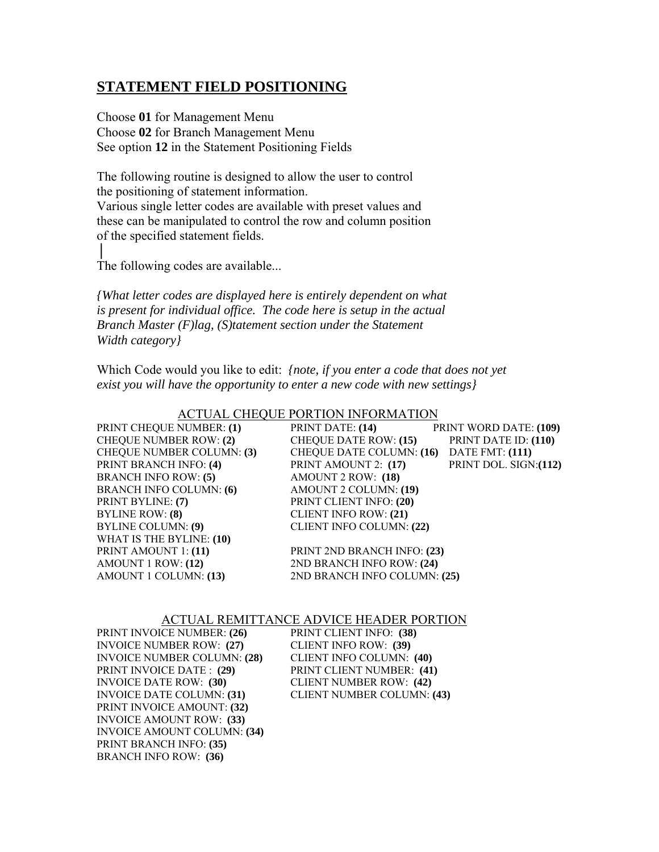# **STATEMENT FIELD POSITIONING**

Choose **01** for Management Menu Choose **02** for Branch Management Menu See option **12** in the Statement Positioning Fields

The following routine is designed to allow the user to control the positioning of statement information. Various single letter codes are available with preset values and these can be manipulated to control the row and column position of the specified statement fields.

The following codes are available...

│

*{What letter codes are displayed here is entirely dependent on what is present for individual office. The code here is setup in the actual Branch Master (F)lag, (S)tatement section under the Statement Width category}* 

Which Code would you like to edit: *{note, if you enter a code that does not yet exist you will have the opportunity to enter a new code with new settings}* 

| ACTUAL CHEQUE FUNTION INFONMATION |                                          |                               |  |  |
|-----------------------------------|------------------------------------------|-------------------------------|--|--|
| PRINT CHEQUE NUMBER: (1)          | PRINT DATE: (14)                         | <b>PRINT WORD DATE: (109)</b> |  |  |
| <b>CHEQUE NUMBER ROW: (2)</b>     | <b>CHEQUE DATE ROW: (15)</b>             | PRINT DATE ID: (110)          |  |  |
| <b>CHEQUE NUMBER COLUMN: (3)</b>  | CHEQUE DATE COLUMN: (16) DATE FMT: (111) |                               |  |  |
| PRINT BRANCH INFO: (4)            | PRINT AMOUNT 2: (17)                     | PRINT DOL. SIGN: (112)        |  |  |
| <b>BRANCH INFO ROW: (5)</b>       | AMOUNT 2 ROW: (18)                       |                               |  |  |
| <b>BRANCH INFO COLUMN: (6)</b>    | AMOUNT 2 COLUMN: (19)                    |                               |  |  |
| PRINT BYLINE: (7)                 | PRINT CLIENT INFO: (20)                  |                               |  |  |
| <b>BYLINE ROW: (8)</b>            | <b>CLIENT INFO ROW: (21)</b>             |                               |  |  |
| <b>BYLINE COLUMN: (9)</b>         | <b>CLIENT INFO COLUMN: (22)</b>          |                               |  |  |
| WHAT IS THE BYLINE: (10)          |                                          |                               |  |  |
| PRINT AMOUNT 1: (11)              | PRINT 2ND BRANCH INFO: (23)              |                               |  |  |
| AMOUNT 1 ROW: (12)                | 2ND BRANCH INFO ROW: (24)                |                               |  |  |
| AMOUNT 1 COLUMN: (13)             | 2ND BRANCH INFO COLUMN: (25)             |                               |  |  |
|                                   |                                          |                               |  |  |

## ACTUAL CHEQUE PORTION INFORMATION PRINT CHEQUE NUMBER: **(1)**PRINT DATE: **(14)** PRINT WORD DATE: **(109)**

#### ACTUAL REMITTANCE ADVICE HEADER PORTION

| PRINT INVOICE NUMBER: (26)         | PRINT CLIENT INFO: (38)           |
|------------------------------------|-----------------------------------|
| <b>INVOICE NUMBER ROW: (27)</b>    | <b>CLIENT INFO ROW: (39)</b>      |
| <b>INVOICE NUMBER COLUMN: (28)</b> | <b>CLIENT INFO COLUMN: (40)</b>   |
| PRINT INVOICE DATE : (29)          | PRINT CLIENT NUMBER: (41)         |
| <b>INVOICE DATE ROW: (30)</b>      | <b>CLIENT NUMBER ROW: (42)</b>    |
| <b>INVOICE DATE COLUMN: (31)</b>   | <b>CLIENT NUMBER COLUMN: (43)</b> |
| PRINT INVOICE AMOUNT: (32)         |                                   |
| <b>INVOICE AMOUNT ROW: (33)</b>    |                                   |
| <b>INVOICE AMOUNT COLUMN: (34)</b> |                                   |
| <b>PRINT BRANCH INFO: (35)</b>     |                                   |
| <b>BRANCH INFO ROW: (36)</b>       |                                   |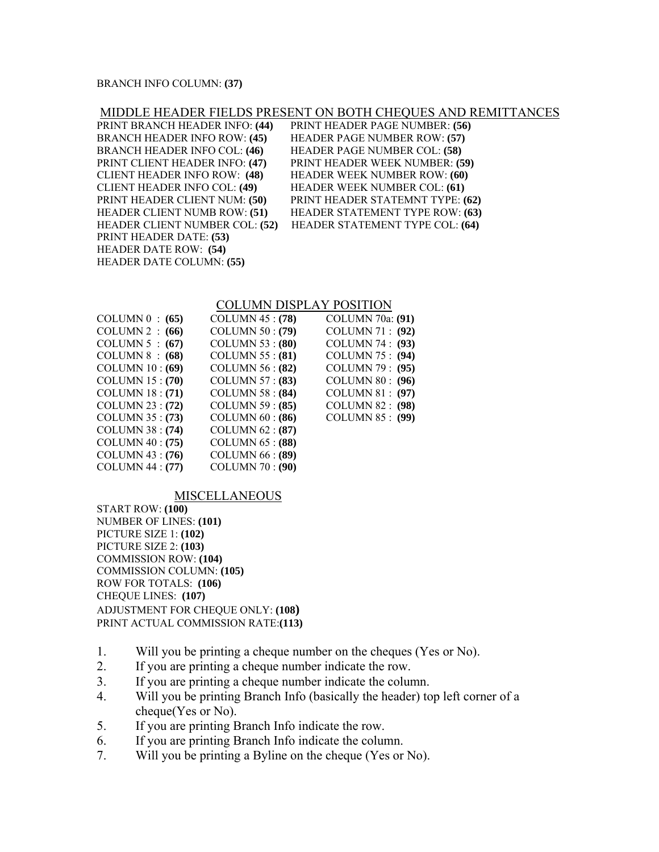#### BRANCH INFO COLUMN: **(37)**

### MIDDLE HEADER FIELDS PRESENT ON BOTH CHEQUES AND REMITTANCES

| PRINT BRANCH HEADER INFO: (44)        | PRINT HEADER PAGE NUMBER: (56)         |
|---------------------------------------|----------------------------------------|
| <b>BRANCH HEADER INFO ROW: (45)</b>   | HEADER PAGE NUMBER ROW: (57)           |
| <b>BRANCH HEADER INFO COL: (46)</b>   | <b>HEADER PAGE NUMBER COL: (58)</b>    |
| PRINT CLIENT HEADER INFO: (47)        | PRINT HEADER WEEK NUMBER: (59)         |
| <b>CLIENT HEADER INFO ROW: (48)</b>   | <b>HEADER WEEK NUMBER ROW: (60)</b>    |
| <b>CLIENT HEADER INFO COL: (49)</b>   | <b>HEADER WEEK NUMBER COL: (61)</b>    |
| PRINT HEADER CLIENT NUM: (50)         | PRINT HEADER STATEMNT TYPE: (62)       |
| <b>HEADER CLIENT NUMB ROW: (51)</b>   | <b>HEADER STATEMENT TYPE ROW: (63)</b> |
| <b>HEADER CLIENT NUMBER COL: (52)</b> | HEADER STATEMENT TYPE COL: (64)        |
| PRINT HEADER DATE: (53)               |                                        |
| HEADER DATE ROW: (54)                 |                                        |
| <b>HEADER DATE COLUMN: (55)</b>       |                                        |

#### COLUMN DISPLAY POSITION

|                        | <b>COLUMN 70a: (91)</b> |
|------------------------|-------------------------|
| <b>COLUMN 50: (79)</b> | COLUMN 71 : (92)        |
| COLUMN $53$ : (80)     | COLUMN 74 : (93)        |
| COLUMN $55: (81)$      | COLUMN 75 : (94)        |
| COLUMN $56: (82)$      | COLUMN $79: (95)$       |
| COLUMN 57: (83)        | COLUMN $80: (96)$       |
| COLUMN $58: (84)$      | COLUMN $81: (97)$       |
| COLUMN $59: (85)$      | COLUMN $82: (98)$       |
| COLUMN $60: (86)$      | <b>COLUMN 85: (99)</b>  |
| COLUMN $62: (87)$      |                         |
| COLUMN $65$ : $(88)$   |                         |
| COLUMN 66 : (89)       |                         |
| <b>COLUMN 70: (90)</b> |                         |
|                        | COLUMN $45: (78)$       |

#### MISCELLANEOUS

START ROW: **(100)**  NUMBER OF LINES: **(101)**  PICTURE SIZE 1: **(102)**  PICTURE SIZE 2: **(103)**  COMMISSION ROW: **(104)**  COMMISSION COLUMN: **(105)**  ROW FOR TOTALS: **(106)**  CHEQUE LINES: **(107)**  ADJUSTMENT FOR CHEQUE ONLY: **(108)** PRINT ACTUAL COMMISSION RATE:**(113)**

- 1. Will you be printing a cheque number on the cheques (Yes or No).
- 2. If you are printing a cheque number indicate the row.
- 3. If you are printing a cheque number indicate the column.
- 4. Will you be printing Branch Info (basically the header) top left corner of a cheque(Yes or No).
- 5. If you are printing Branch Info indicate the row.
- 6. If you are printing Branch Info indicate the column.
- 7. Will you be printing a Byline on the cheque (Yes or No).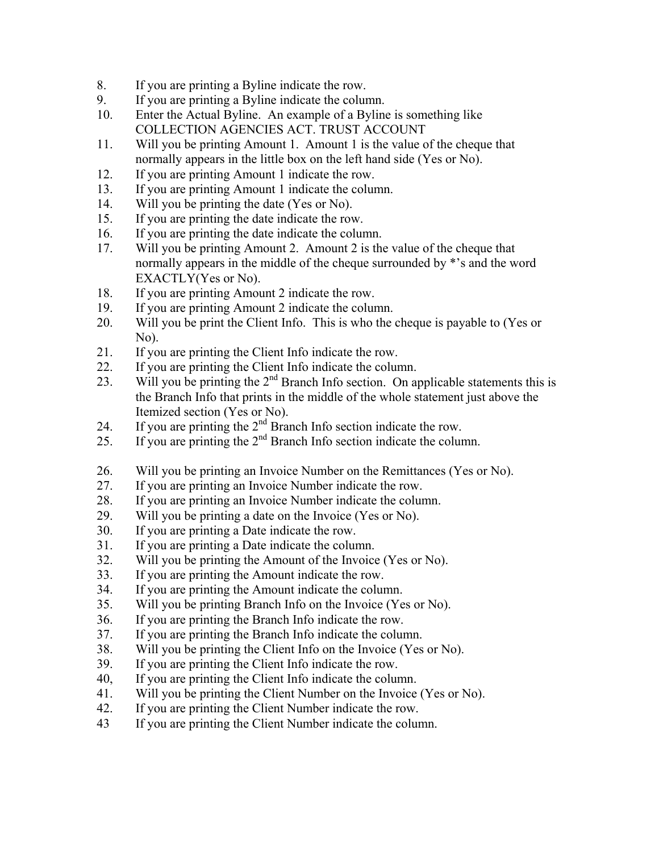- 8. If you are printing a Byline indicate the row.
- 9. If you are printing a Byline indicate the column.
- 10. Enter the Actual Byline. An example of a Byline is something like COLLECTION AGENCIES ACT. TRUST ACCOUNT
- 11. Will you be printing Amount 1. Amount 1 is the value of the cheque that normally appears in the little box on the left hand side (Yes or No).
- 12. If you are printing Amount 1 indicate the row.
- 13. If you are printing Amount 1 indicate the column.
- 14. Will you be printing the date (Yes or No).
- 15. If you are printing the date indicate the row.
- 16. If you are printing the date indicate the column.
- 17. Will you be printing Amount 2. Amount 2 is the value of the cheque that normally appears in the middle of the cheque surrounded by \*'s and the word EXACTLY(Yes or No).
- 18. If you are printing Amount 2 indicate the row.
- 19. If you are printing Amount 2 indicate the column.
- 20. Will you be print the Client Info. This is who the cheque is payable to (Yes or No).
- 21. If you are printing the Client Info indicate the row.
- 22. If you are printing the Client Info indicate the column.
- 23. Will you be printing the  $2<sup>nd</sup>$  Branch Info section. On applicable statements this is the Branch Info that prints in the middle of the whole statement just above the Itemized section (Yes or No).
- 24. If you are printing the  $2<sup>nd</sup>$  Branch Info section indicate the row.
- 25. If you are printing the  $2<sup>nd</sup>$  Branch Info section indicate the column.
- 26. Will you be printing an Invoice Number on the Remittances (Yes or No).
- 27. If you are printing an Invoice Number indicate the row.
- 28. If you are printing an Invoice Number indicate the column.
- 29. Will you be printing a date on the Invoice (Yes or No).
- 30. If you are printing a Date indicate the row.
- 31. If you are printing a Date indicate the column.
- 32. Will you be printing the Amount of the Invoice (Yes or No).
- 33. If you are printing the Amount indicate the row.
- 34. If you are printing the Amount indicate the column.
- 35. Will you be printing Branch Info on the Invoice (Yes or No).
- 36. If you are printing the Branch Info indicate the row.
- 37. If you are printing the Branch Info indicate the column.
- 38. Will you be printing the Client Info on the Invoice (Yes or No).
- 39. If you are printing the Client Info indicate the row.
- 40, If you are printing the Client Info indicate the column.
- 41. Will you be printing the Client Number on the Invoice (Yes or No).
- 42. If you are printing the Client Number indicate the row.
- 43 If you are printing the Client Number indicate the column.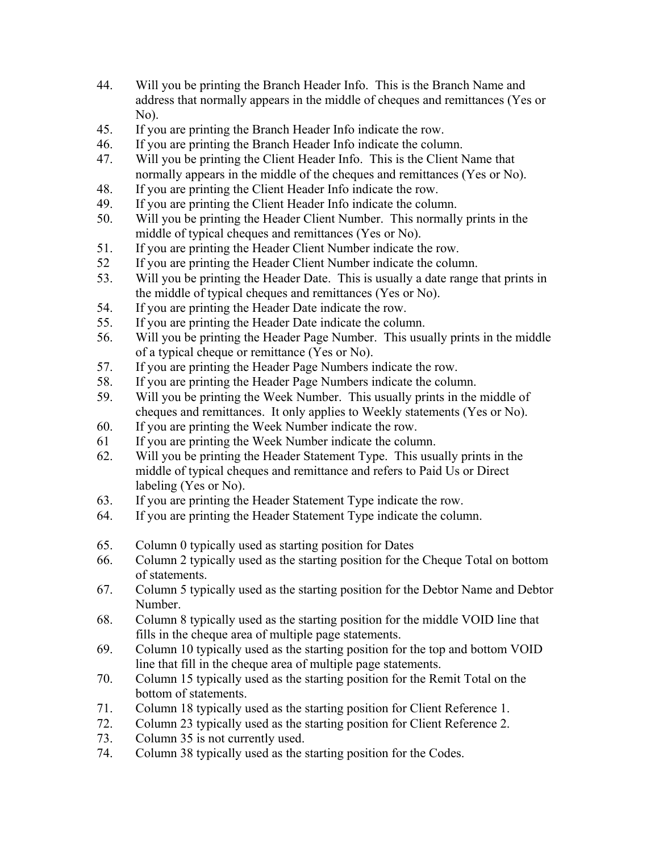- 44. Will you be printing the Branch Header Info. This is the Branch Name and address that normally appears in the middle of cheques and remittances (Yes or No).
- 45. If you are printing the Branch Header Info indicate the row.
- 46. If you are printing the Branch Header Info indicate the column.
- 47. Will you be printing the Client Header Info. This is the Client Name that normally appears in the middle of the cheques and remittances (Yes or No).
- 48. If you are printing the Client Header Info indicate the row.
- 49. If you are printing the Client Header Info indicate the column.
- 50. Will you be printing the Header Client Number. This normally prints in the middle of typical cheques and remittances (Yes or No).
- 51. If you are printing the Header Client Number indicate the row.
- 52 If you are printing the Header Client Number indicate the column.
- 53. Will you be printing the Header Date. This is usually a date range that prints in the middle of typical cheques and remittances (Yes or No).
- 54. If you are printing the Header Date indicate the row.
- 55. If you are printing the Header Date indicate the column.
- 56. Will you be printing the Header Page Number. This usually prints in the middle of a typical cheque or remittance (Yes or No).<br>57. If you are printing the Header Page Numbers in
- If you are printing the Header Page Numbers indicate the row.
- 58. If you are printing the Header Page Numbers indicate the column.
- 59. Will you be printing the Week Number. This usually prints in the middle of cheques and remittances. It only applies to Weekly statements (Yes or No).
- 60. If you are printing the Week Number indicate the row.
- 61 If you are printing the Week Number indicate the column.
- 62. Will you be printing the Header Statement Type. This usually prints in the middle of typical cheques and remittance and refers to Paid Us or Direct labeling (Yes or No).
- 63. If you are printing the Header Statement Type indicate the row.
- 64. If you are printing the Header Statement Type indicate the column.
- 65. Column 0 typically used as starting position for Dates
- 66. Column 2 typically used as the starting position for the Cheque Total on bottom of statements.
- 67. Column 5 typically used as the starting position for the Debtor Name and Debtor Number.
- 68. Column 8 typically used as the starting position for the middle VOID line that fills in the cheque area of multiple page statements.
- 69. Column 10 typically used as the starting position for the top and bottom VOID line that fill in the cheque area of multiple page statements.
- 70. Column 15 typically used as the starting position for the Remit Total on the bottom of statements.
- 71. Column 18 typically used as the starting position for Client Reference 1.
- 72. Column 23 typically used as the starting position for Client Reference 2.
- 73. Column 35 is not currently used.
- 74. Column 38 typically used as the starting position for the Codes.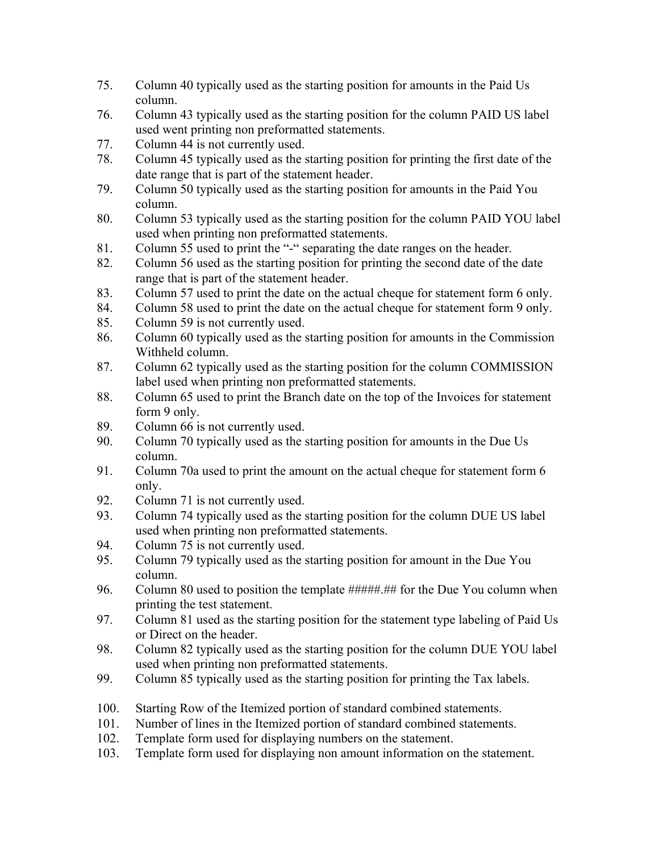- 75. Column 40 typically used as the starting position for amounts in the Paid Us column.
- 76. Column 43 typically used as the starting position for the column PAID US label used went printing non preformatted statements.
- 77. Column 44 is not currently used.
- 78. Column 45 typically used as the starting position for printing the first date of the date range that is part of the statement header.
- 79. Column 50 typically used as the starting position for amounts in the Paid You column.
- 80. Column 53 typically used as the starting position for the column PAID YOU label used when printing non preformatted statements.
- 81. Column 55 used to print the "-" separating the date ranges on the header.
- 82. Column 56 used as the starting position for printing the second date of the date range that is part of the statement header.
- 83. Column 57 used to print the date on the actual cheque for statement form 6 only.
- 84. Column 58 used to print the date on the actual cheque for statement form 9 only.
- 85. Column 59 is not currently used.
- 86. Column 60 typically used as the starting position for amounts in the Commission Withheld column.
- 87. Column 62 typically used as the starting position for the column COMMISSION label used when printing non preformatted statements.
- 88. Column 65 used to print the Branch date on the top of the Invoices for statement form 9 only.
- 89. Column 66 is not currently used.
- 90. Column 70 typically used as the starting position for amounts in the Due Us column.
- 91. Column 70a used to print the amount on the actual cheque for statement form 6 only.
- 92. Column 71 is not currently used.
- 93. Column 74 typically used as the starting position for the column DUE US label used when printing non preformatted statements.
- 94. Column 75 is not currently used.
- 95. Column 79 typically used as the starting position for amount in the Due You column.
- 96. Column 80 used to position the template #####.## for the Due You column when printing the test statement.
- 97. Column 81 used as the starting position for the statement type labeling of Paid Us or Direct on the header.
- 98. Column 82 typically used as the starting position for the column DUE YOU label used when printing non preformatted statements.
- 99. Column 85 typically used as the starting position for printing the Tax labels.
- 100. Starting Row of the Itemized portion of standard combined statements.
- 101. Number of lines in the Itemized portion of standard combined statements.
- 102. Template form used for displaying numbers on the statement.
- 103. Template form used for displaying non amount information on the statement.